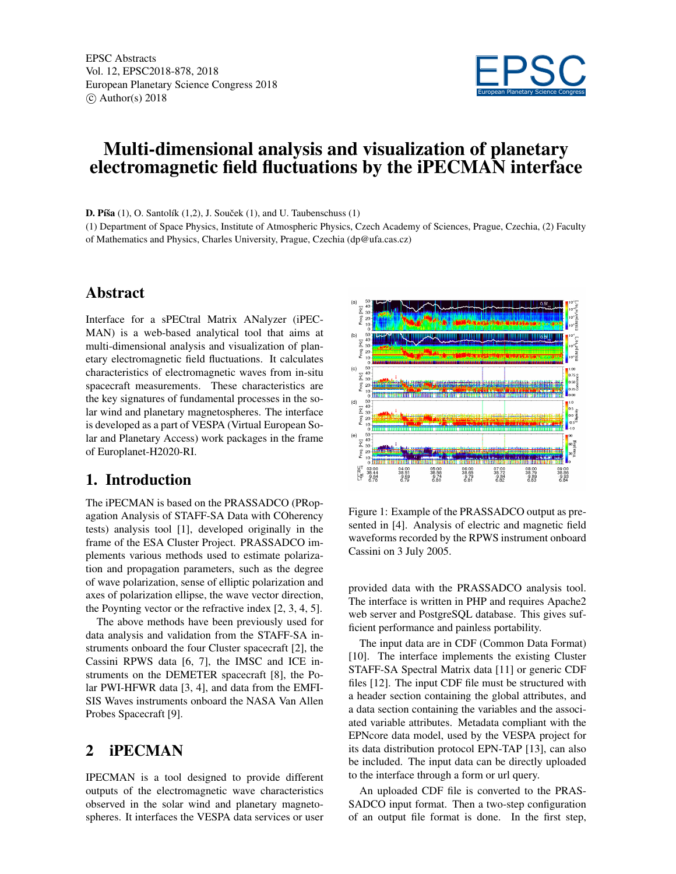EPSC Abstracts Vol. 12, EPSC2018-878, 2018 European Planetary Science Congress 2018  $\circ$  Author(s) 2018



# Multi-dimensional analysis and visualization of planetary electromagnetic field fluctuations by the iPECMAN interface

**D. Píša**  $(1)$ , O. Santolík  $(1,2)$ , J. Souček  $(1)$ , and U. Taubenschuss  $(1)$ 

(1) Department of Space Physics, Institute of Atmospheric Physics, Czech Academy of Sciences, Prague, Czechia, (2) Faculty of Mathematics and Physics, Charles University, Prague, Czechia (dp@ufa.cas.cz)

#### Abstract

Interface for a sPECtral Matrix ANalyzer (iPEC-MAN) is a web-based analytical tool that aims at multi-dimensional analysis and visualization of planetary electromagnetic field fluctuations. It calculates characteristics of electromagnetic waves from in-situ spacecraft measurements. These characteristics are the key signatures of fundamental processes in the solar wind and planetary magnetospheres. The interface is developed as a part of VESPA (Virtual European Solar and Planetary Access) work packages in the frame of Europlanet-H2020-RI.

#### 1. Introduction

The iPECMAN is based on the PRASSADCO (PRopagation Analysis of STAFF-SA Data with COherency tests) analysis tool [1], developed originally in the frame of the ESA Cluster Project. PRASSADCO implements various methods used to estimate polarization and propagation parameters, such as the degree of wave polarization, sense of elliptic polarization and axes of polarization ellipse, the wave vector direction, the Poynting vector or the refractive index [2, 3, 4, 5].

The above methods have been previously used for data analysis and validation from the STAFF-SA instruments onboard the four Cluster spacecraft [2], the Cassini RPWS data [6, 7], the IMSC and ICE instruments on the DEMETER spacecraft [8], the Polar PWI-HFWR data [3, 4], and data from the EMFI-SIS Waves instruments onboard the NASA Van Allen Probes Spacecraft [9].

#### 2 iPECMAN

IPECMAN is a tool designed to provide different outputs of the electromagnetic wave characteristics observed in the solar wind and planetary magnetospheres. It interfaces the VESPA data services or user



Figure 1: Example of the PRASSADCO output as presented in [4]. Analysis of electric and magnetic field waveforms recorded by the RPWS instrument onboard Cassini on 3 July 2005.

provided data with the PRASSADCO analysis tool. The interface is written in PHP and requires Apache2 web server and PostgreSQL database. This gives sufficient performance and painless portability.

The input data are in CDF (Common Data Format) [10]. The interface implements the existing Cluster STAFF-SA Spectral Matrix data [11] or generic CDF files [12]. The input CDF file must be structured with a header section containing the global attributes, and a data section containing the variables and the associated variable attributes. Metadata compliant with the EPNcore data model, used by the VESPA project for its data distribution protocol EPN-TAP [13], can also be included. The input data can be directly uploaded to the interface through a form or url query.

An uploaded CDF file is converted to the PRAS-SADCO input format. Then a two-step configuration of an output file format is done. In the first step,